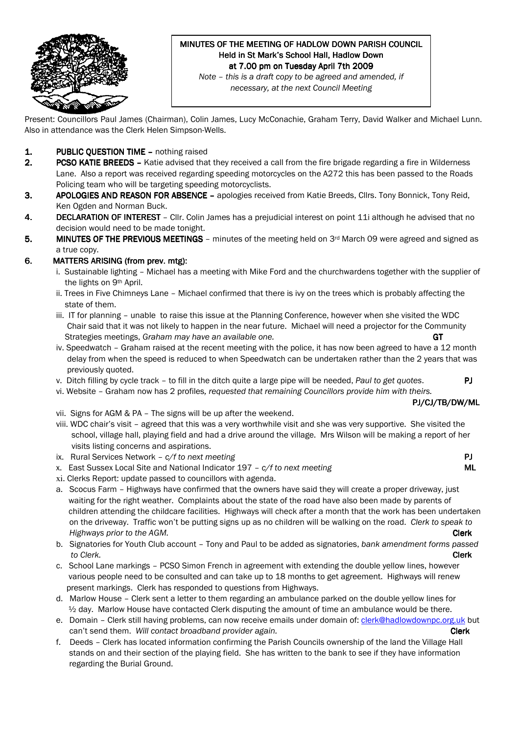

# MINUTES OF THE MEETING OF HADLOW DOWN PARISH COUNCIL Held in St Mark's School Hall, Hadlow Down at 7.00 pm on Tuesday April 7th 2009

Note – this is a draft copy to be agreed and amended, if necessary, at the next Council Meeting

Present: Councillors Paul James (Chairman), Colin James, Lucy McConachie, Graham Terry, David Walker and Michael Lunn. Also in attendance was the Clerk Helen Simpson-Wells.

### 1. **PUBLIC OUESTION TIME –** nothing raised

- 2. PCSO KATIE BREEDS Katie advised that they received a call from the fire brigade regarding a fire in Wilderness Lane. Also a report was received regarding speeding motorcycles on the A272 this has been passed to the Roads Policing team who will be targeting speeding motorcyclists.
- 3. APOLOGIES AND REASON FOR ABSENCE apologies received from Katie Breeds, Cllrs. Tony Bonnick, Tony Reid, Ken Ogden and Norman Buck.
- 4. DECLARATION OF INTEREST Cllr. Colin James has a prejudicial interest on point 11i although he advised that no decision would need to be made tonight.
- 5. MINUTES OF THE PREVIOUS MEETINGS minutes of the meeting held on  $3<sup>rd</sup>$  March 09 were agreed and signed as a true copy.

### 6. MATTERS ARISING (from prev. mtg):

- i. Sustainable lighting Michael has a meeting with Mike Ford and the churchwardens together with the supplier of the lights on 9th April.
- ii. Trees in Five Chimneys Lane Michael confirmed that there is ivy on the trees which is probably affecting the state of them.
- iii. IT for planning unable to raise this issue at the Planning Conference, however when she visited the WDC Chair said that it was not likely to happen in the near future. Michael will need a projector for the Community Strategies meetings, Graham may have an available one. The contract of the contract of  $GT$
- iv. Speedwatch Graham raised at the recent meeting with the police, it has now been agreed to have a 12 month delay from when the speed is reduced to when Speedwatch can be undertaken rather than the 2 years that was previously quoted.
- v. Ditch filling by cycle track to fill in the ditch quite a large pipe will be needed, Paul to get quotes.  $PJ$
- vi. Website Graham now has 2 profiles, requested that remaining Councillors provide him with theirs.

#### PJ/CJ/TB/DW/ML

- vii. Signs for AGM & PA The signs will be up after the weekend.
- viii. WDC chair's visit agreed that this was a very worthwhile visit and she was very supportive. She visited the school, village hall, playing field and had a drive around the village. Mrs Wilson will be making a report of her visits listing concerns and aspirations.
- ix. Rural Services Network  $c/f$  to next meeting  $\blacksquare$
- x. East Sussex Local Site and National Indicator  $197 c/f$  to next meeting MI
- xi. Clerks Report: update passed to councillors with agenda.
- a. Scocus Farm Highways have confirmed that the owners have said they will create a proper driveway, just waiting for the right weather. Complaints about the state of the road have also been made by parents of children attending the childcare facilities. Highways will check after a month that the work has been undertaken on the driveway. Traffic won't be putting signs up as no children will be walking on the road. Clerk to speak to Highways prior to the AGM. Clearly be a set of the AGM of the AGM of the Clerk control of the AGM.
- b. Signatories for Youth Club account Tony and Paul to be added as signatories, bank amendment forms passed to Clerk. **Clearly and the clearly contained to clearly contained the clearly contained to Clerk** contained the c
	- c. School Lane markings PCSO Simon French in agreement with extending the double yellow lines, however various people need to be consulted and can take up to 18 months to get agreement. Highways will renew present markings. Clerk has responded to questions from Highways.
	- d. Marlow House Clerk sent a letter to them regarding an ambulance parked on the double yellow lines for ½ day. Marlow House have contacted Clerk disputing the amount of time an ambulance would be there.
	- e. Domain Clerk still having problems, can now receive emails under domain of: clerk@hadlowdownpc.org.uk but can't send them. Will contact broadband provider again. The control of the control of the Clerk
	- f. Deeds Clerk has located information confirming the Parish Councils ownership of the land the Village Hall stands on and their section of the playing field. She has written to the bank to see if they have information regarding the Burial Ground.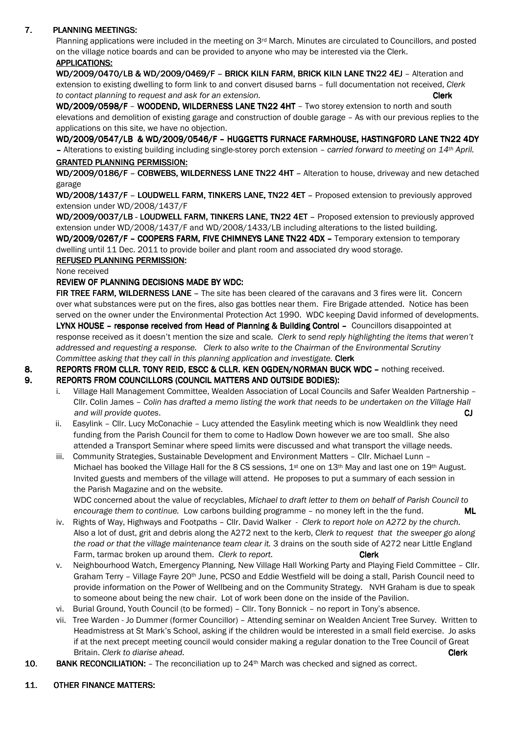# 7. PLANNING MEETINGS:

Planning applications were included in the meeting on 3<sup>rd</sup> March. Minutes are circulated to Councillors, and posted on the village notice boards and can be provided to anyone who may be interested via the Clerk. APPLICATIONS:

WD/2009/0470/LB & WD/2009/0469/F – BRICK KILN FARM, BRICK KILN LANE TN22 4EJ – Alteration and extension to existing dwelling to form link to and convert disused barns – full documentation not received, Clerk to contact planning to request and ask for an extension. The contact contact clerk clerk

WD/2009/0598/F - WOODEND, WILDERNESS LANE TN22 4HT - Two storey extension to north and south elevations and demolition of existing garage and construction of double garage – As with our previous replies to the applications on this site, we have no objection.

WD/2009/0547/LB & WD/2009/0546/F - HUGGETTS FURNACE FARMHOUSE, HASTINGFORD LANE TN22 4DY – Alterations to existing building including single-storey porch extension – carried forward to meeting on 14th April. GRANTED PLANNING PERMISSION: GRANTED PLANNING PERMISSION:

WD/2009/0186/F - COBWEBS, WILDERNESS LANE TN22 4HT - Alteration to house, driveway and new detached garage

WD/2008/1437/F - LOUDWELL FARM, TINKERS LANE, TN22 4ET - Proposed extension to previously approved extension under WD/2008/1437/F

WD/2009/0037/LB - LOUDWELL FARM, TINKERS LANE, TN22 4ET - Proposed extension to previously approved extension under WD/2008/1437/F and WD/2008/1433/LB including alterations to the listed building.

WD/2009/0267/F - COOPERS FARM, FIVE CHIMNEYS LANE TN22 4DX - Temporary extension to temporary dwelling until 11 Dec. 2011 to provide boiler and plant room and associated dry wood storage.

## REFUSED PLANNING PERMISSION:

None received

### REVIEW OF PLANNING DECISIONS MADE BY WDC:

FIR TREE FARM, WILDERNESS LANE – The site has been cleared of the caravans and 3 fires were lit. Concern over what substances were put on the fires, also gas bottles near them. Fire Brigade attended. Notice has been served on the owner under the Environmental Protection Act 1990. WDC keeping David informed of developments. LYNX HOUSE - response received from Head of Planning & Building Control - Councillors disappointed at response received as it doesn't mention the size and scale. Clerk to send reply highlighting the items that weren't addressed and requesting a response. Clerk to also write to the Chairman of the Environmental Scrutiny Committee asking that they call in this planning application and investigate. Clerk

8. REPORTS FROM CLLR. TONY REID, ESCC & CLLR. KEN OGDEN/NORMAN BUCK WDC - nothing received.

#### 9. REPORTS FROM COUNCILLORS (COUNCIL MATTERS AND OUTSIDE BODIES):

- i. Village Hall Management Committee, Wealden Association of Local Councils and Safer Wealden Partnership Cllr. Colin James – Colin has drafted a memo listing the work that needs to be undertaken on the Village Hall and will provide quotes. **CJ** and will provide quotes. **C**
- ii. Easylink Cllr. Lucy McConachie Lucy attended the Easylink meeting which is now Wealdlink they need funding from the Parish Council for them to come to Hadlow Down however we are too small. She also attended a Transport Seminar where speed limits were discussed and what transport the village needs.
- iii. Community Strategies, Sustainable Development and Environment Matters Cllr. Michael Lunn Michael has booked the Village Hall for the 8 CS sessions, 1<sup>st</sup> one on 13<sup>th</sup> May and last one on 19<sup>th</sup> August. Invited guests and members of the village will attend. He proposes to put a summary of each session in the Parish Magazine and on the website.

 WDC concerned about the value of recyclables, Michael to draft letter to them on behalf of Parish Council to encourage them to continue. Low carbons building programme  $-$  no money left in the the fund.  $ML$ 

- iv. Rights of Way, Highways and Footpaths Cllr. David Walker Clerk to report hole on A272 by the church. Also a lot of dust, grit and debris along the A272 next to the kerb, Clerk to request that the sweeper go along the road or that the village maintenance team clear it. 3 drains on the south side of A272 near Little England Farm, tarmac broken up around them. Clerk to report. Clerk Clerk
- v. Neighbourhood Watch, Emergency Planning, New Village Hall Working Party and Playing Field Committee Cllr. Graham Terry – Village Fayre 20th June, PCSO and Eddie Westfield will be doing a stall, Parish Council need to provide information on the Power of Wellbeing and on the Community Strategy. NVH Graham is due to speak to someone about being the new chair. Lot of work been done on the inside of the Pavilion.
- vi. Burial Ground, Youth Council (to be formed) Cllr. Tony Bonnick no report in Tony's absence.
- vii. Tree Warden Jo Dummer (former Councillor) Attending seminar on Wealden Ancient Tree Survey. Written to Headmistress at St Mark's School, asking if the children would be interested in a small field exercise. Jo asks if at the next precept meeting council would consider making a regular donation to the Tree Council of Great Britain. Clerk to diarise ahead. Clerk is a state of the state of the state of the clerk clerk clerk clerk.
- 10. BANK RECONCILIATION:  $-$  The reconciliation up to 24<sup>th</sup> March was checked and signed as correct.

#### 11. OTHER FINANCE MATTERS: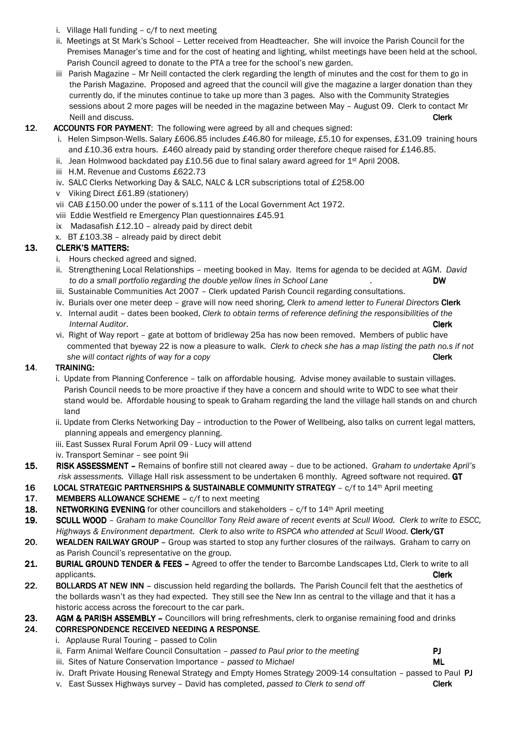- i. Village Hall funding c/f to next meeting
- ii. Meetings at St Mark's School Letter received from Headteacher. She will invoice the Parish Council for the Premises Manager's time and for the cost of heating and lighting, whilst meetings have been held at the school. Parish Council agreed to donate to the PTA a tree for the school's new garden.
- iii Parish Magazine Mr Neill contacted the clerk regarding the length of minutes and the cost for them to go in the Parish Magazine. Proposed and agreed that the council will give the magazine a larger donation than they currently do, if the minutes continue to take up more than 3 pages. Also with the Community Strategies sessions about 2 more pages will be needed in the magazine between May – August 09. Clerk to contact Mr Neill and discuss. **Clerk** the control of the control of the control of the control of the control of the control of the control of the control of the control of the control of the control of the control of the control of

## 12. ACCOUNTS FOR PAYMENT: The following were agreed by all and cheques signed:

- i. Helen Simpson-Wells. Salary £606.85 includes £46.80 for mileage, £5.10 for expenses, £31.09 training hours and £10.36 extra hours. £460 already paid by standing order therefore cheque raised for £146.85.
- ii. Jean Holmwood backdated pay £10.56 due to final salary award agreed for 1<sup>st</sup> April 2008.
- iii H.M. Revenue and Customs £622.73
- iv. SALC Clerks Networking Day & SALC, NALC & LCR subscriptions total of £258.00
- v Viking Direct £61.89 (stationery)
- vii CAB £150.00 under the power of s.111 of the Local Government Act 1972.
- viii Eddie Westfield re Emergency Plan questionnaires £45.91
- ix Madasafish £12.10 already paid by direct debit
- x. BT £103.38 already paid by direct debit

# 13. CLERK'S MATTERS:

- i. Hours checked agreed and signed.
- ii. Strengthening Local Relationships meeting booked in May. Items for agenda to be decided at AGM. David to do a small portfolio regarding the double yellow lines in School Lane . The same state of the state of the  $DW$
- iii. Sustainable Communities Act 2007 Clerk updated Parish Council regarding consultations.
- iv. Burials over one meter deep grave will now need shoring, Clerk to amend letter to Funeral Directors Clerk v. Internal audit – dates been booked, Clerk to obtain terms of reference defining the responsibilities of the
- **Internal Auditor.** Clerk vi. Right of Way report – gate at bottom of bridleway 25a has now been removed. Members of public have commented that byeway 22 is now a pleasure to walk. Clerk to check she has a map listing the path no.s if not she will contact rights of way for a copy **Clerk** She will contact rights of way for a copy

### 14. TRAINING:

- i. Update from Planning Conference talk on affordable housing. Advise money available to sustain villages. Parish Council needs to be more proactive if they have a concern and should write to WDC to see what their stand would be. Affordable housing to speak to Graham regarding the land the village hall stands on and church land
- ii. Update from Clerks Networking Day introduction to the Power of Wellbeing, also talks on current legal matters, planning appeals and emergency planning.
- iii. East Sussex Rural Forum April 09 Lucy will attend
- iv. Transport Seminar see point 9ii
- 15. RISK ASSESSMENT Remains of bonfire still not cleared away due to be actioned. Graham to undertake April's risk assessments. Village Hall risk assessment to be undertaken 6 monthly. Agreed software not required. GT
- 16 LOCAL STRATEGIC PARTNERSHIPS & SUSTAINABLE COMMUNITY STRATEGY c/f to 14<sup>th</sup> April meeting

### 17. MEMBERS ALLOWANCE SCHEME - c/f to next meeting

- 18. NETWORKING EVENING for other councillors and stakeholders  $c/f$  to  $14<sup>th</sup>$  April meeting
- 19. SCULL WOOD Graham to make Councillor Tony Reid aware of recent events at Scull Wood. Clerk to write to ESCC, Highways & Environment department. Clerk to also write to RSPCA who attended at Scull Wood. Clerk/GT
- 20. WEALDEN RAILWAY GROUP Group was started to stop any further closures of the railways. Graham to carry on as Parish Council's representative on the group.
- 21. BURIAL GROUND TENDER & FEES Agreed to offer the tender to Barcombe Landscapes Ltd, Clerk to write to all applicants. **Clerk** the control of the control of the control of the control of the control of the control of the control of the control of the control of the control of the control of the control of the control of the con
- 22. BOLLARDS AT NEW INN discussion held regarding the bollards. The Parish Council felt that the aesthetics of the bollards wasn't as they had expected. They still see the New Inn as central to the village and that it has a historic access across the forecourt to the car park.

#### 23. AGM & PARISH ASSEMBLY - Councillors will bring refreshments, clerk to organise remaining food and drinks

### 24. CORRESPONDENCE RECEIVED NEEDING A RESPONSE.

- i. Applause Rural Touring passed to Colin
- ii. Farm Animal Welfare Council Consultation  $-$  passed to Paul prior to the meeting  $\overline{P}$
- iii. Sites of Nature Conservation Importance passed to Michael MICHAEL MICHAEL MICHAEL MICHAEL MICHAEL MICHAEL MICHAEL MICHAEL MICHAEL MICHAEL MICHAEL MICHAEL MICHAEL MICHAEL MICHAEL MICHAEL MICHAEL MICHAEL MICHAEL MICHA
- iv. Draft Private Housing Renewal Strategy and Empty Homes Strategy 2009-14 consultation passed to Paul PJ
- v. East Sussex Highways survey David has completed, passed to Clerk to send off Clerk